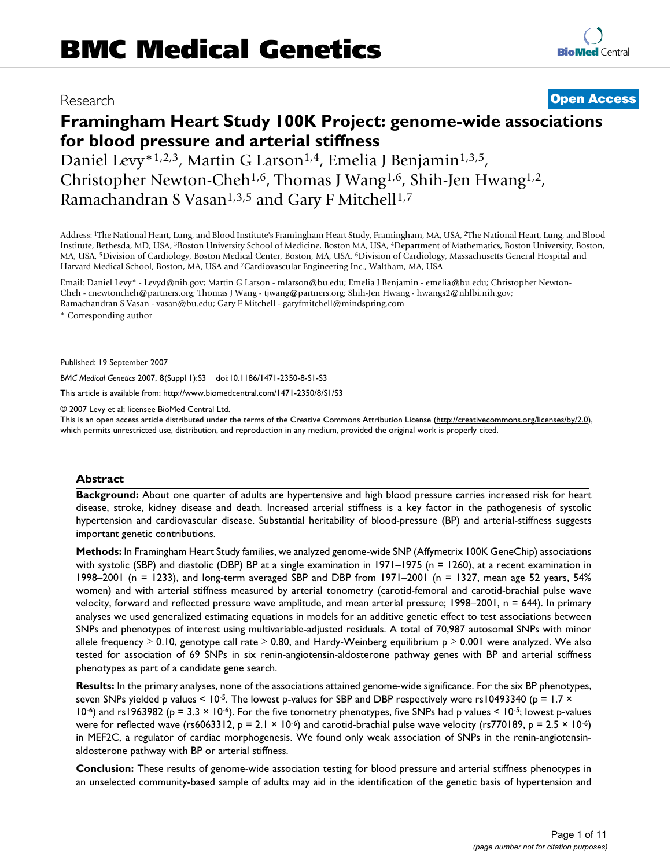# Research **[Open Access](http://www.biomedcentral.com/info/about/charter/)**

# **Framingham Heart Study 100K Project: genome-wide associations for blood pressure and arterial stiffness**

Daniel Levy<sup>\*1,2,3</sup>, Martin G Larson<sup>1,4</sup>, Emelia J Benjamin<sup>1,3,5</sup>, Christopher Newton-Cheh1,6, Thomas J Wang1,6, Shih-Jen Hwang1,2, Ramachandran S Vasan<sup>1,3,5</sup> and Gary F Mitchell<sup>1,7</sup>

Address: 1The National Heart, Lung, and Blood Institute's Framingham Heart Study, Framingham, MA, USA, 2The National Heart, Lung, and Blood Institute, Bethesda, MD, USA, 3Boston University School of Medicine, Boston MA, USA, 4Department of Mathematics, Boston University, Boston, MA, USA, 5Division of Cardiology, Boston Medical Center, Boston, MA, USA, 6Division of Cardiology, Massachusetts General Hospital and Harvard Medical School, Boston, MA, USA and 7Cardiovascular Engineering Inc., Waltham, MA, USA

Email: Daniel Levy\* - Levyd@nih.gov; Martin G Larson - mlarson@bu.edu; Emelia J Benjamin - emelia@bu.edu; Christopher Newton-Cheh - cnewtoncheh@partners.org; Thomas J Wang - tjwang@partners.org; Shih-Jen Hwang - hwangs2@nhlbi.nih.gov; Ramachandran S Vasan - vasan@bu.edu; Gary F Mitchell - garyfmitchell@mindspring.com

\* Corresponding author

Published: 19 September 2007

*BMC Medical Genetics* 2007, **8**(Suppl 1):S3 doi:10.1186/1471-2350-8-S1-S3

[This article is available from: http://www.biomedcentral.com/1471-2350/8/S1/S3](http://www.biomedcentral.com/1471-2350/8/S1/S3)

© 2007 Levy et al; licensee BioMed Central Ltd.

This is an open access article distributed under the terms of the Creative Commons Attribution License [\(http://creativecommons.org/licenses/by/2.0\)](http://creativecommons.org/licenses/by/2.0), which permits unrestricted use, distribution, and reproduction in any medium, provided the original work is properly cited.

## **Abstract**

**Background:** About one quarter of adults are hypertensive and high blood pressure carries increased risk for heart disease, stroke, kidney disease and death. Increased arterial stiffness is a key factor in the pathogenesis of systolic hypertension and cardiovascular disease. Substantial heritability of blood-pressure (BP) and arterial-stiffness suggests important genetic contributions.

**Methods:** In Framingham Heart Study families, we analyzed genome-wide SNP (Affymetrix 100K GeneChip) associations with systolic (SBP) and diastolic (DBP) BP at a single examination in 1971–1975 (n = 1260), at a recent examination in 1998–2001 (n = 1233), and long-term averaged SBP and DBP from 1971–2001 (n = 1327, mean age 52 years, 54% women) and with arterial stiffness measured by arterial tonometry (carotid-femoral and carotid-brachial pulse wave velocity, forward and reflected pressure wave amplitude, and mean arterial pressure; 1998–2001, n = 644). In primary analyses we used generalized estimating equations in models for an additive genetic effect to test associations between SNPs and phenotypes of interest using multivariable-adjusted residuals. A total of 70,987 autosomal SNPs with minor allele frequency  $\geq 0.10$ , genotype call rate  $\geq 0.80$ , and Hardy-Weinberg equilibrium  $p \geq 0.001$  were analyzed. We also tested for association of 69 SNPs in six renin-angiotensin-aldosterone pathway genes with BP and arterial stiffness phenotypes as part of a candidate gene search.

**Results:** In the primary analyses, none of the associations attained genome-wide significance. For the six BP phenotypes, seven SNPs yielded p values  $\leq 10^{-5}$ . The lowest p-values for SBP and DBP respectively were rs10493340 (p = 1.7  $\times$  $10^{-6}$ ) and rs1963982 (p = 3.3 ×  $10^{-6}$ ). For the five tonometry phenotypes, five SNPs had p values <  $10^{-5}$ ; lowest p-values were for reflected wave (rs6063312, p = 2.1 × 10<sup>-6</sup>) and carotid-brachial pulse wave velocity (rs770189, p = 2.5 × 10<sup>-6</sup>) in MEF2C, a regulator of cardiac morphogenesis. We found only weak association of SNPs in the renin-angiotensinaldosterone pathway with BP or arterial stiffness.

**Conclusion:** These results of genome-wide association testing for blood pressure and arterial stiffness phenotypes in an unselected community-based sample of adults may aid in the identification of the genetic basis of hypertension and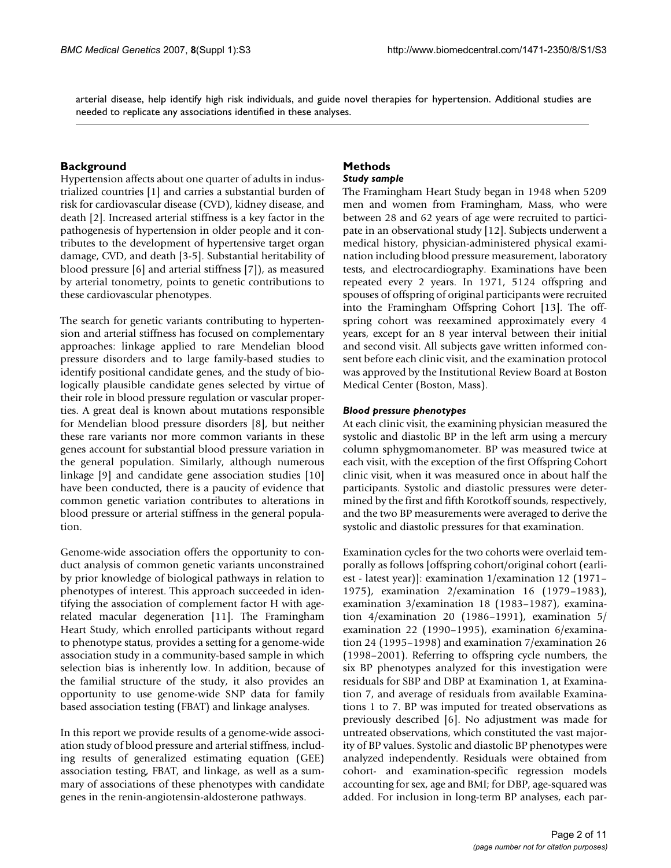arterial disease, help identify high risk individuals, and guide novel therapies for hypertension. Additional studies are needed to replicate any associations identified in these analyses.

## **Background**

Hypertension affects about one quarter of adults in industrialized countries [1] and carries a substantial burden of risk for cardiovascular disease (CVD), kidney disease, and death [2]. Increased arterial stiffness is a key factor in the pathogenesis of hypertension in older people and it contributes to the development of hypertensive target organ damage, CVD, and death [3-5]. Substantial heritability of blood pressure [6] and arterial stiffness [7]), as measured by arterial tonometry, points to genetic contributions to these cardiovascular phenotypes.

The search for genetic variants contributing to hypertension and arterial stiffness has focused on complementary approaches: linkage applied to rare Mendelian blood pressure disorders and to large family-based studies to identify positional candidate genes, and the study of biologically plausible candidate genes selected by virtue of their role in blood pressure regulation or vascular properties. A great deal is known about mutations responsible for Mendelian blood pressure disorders [8], but neither these rare variants nor more common variants in these genes account for substantial blood pressure variation in the general population. Similarly, although numerous linkage [9] and candidate gene association studies [10] have been conducted, there is a paucity of evidence that common genetic variation contributes to alterations in blood pressure or arterial stiffness in the general population.

Genome-wide association offers the opportunity to conduct analysis of common genetic variants unconstrained by prior knowledge of biological pathways in relation to phenotypes of interest. This approach succeeded in identifying the association of complement factor H with agerelated macular degeneration [11]. The Framingham Heart Study, which enrolled participants without regard to phenotype status, provides a setting for a genome-wide association study in a community-based sample in which selection bias is inherently low. In addition, because of the familial structure of the study, it also provides an opportunity to use genome-wide SNP data for family based association testing (FBAT) and linkage analyses.

In this report we provide results of a genome-wide association study of blood pressure and arterial stiffness, including results of generalized estimating equation (GEE) association testing, FBAT, and linkage, as well as a summary of associations of these phenotypes with candidate genes in the renin-angiotensin-aldosterone pathways.

#### **Methods** *Study sample*

The Framingham Heart Study began in 1948 when 5209 men and women from Framingham, Mass, who were between 28 and 62 years of age were recruited to participate in an observational study [12]. Subjects underwent a medical history, physician-administered physical examination including blood pressure measurement, laboratory tests, and electrocardiography. Examinations have been repeated every 2 years. In 1971, 5124 offspring and spouses of offspring of original participants were recruited into the Framingham Offspring Cohort [13]. The offspring cohort was reexamined approximately every 4 years, except for an 8 year interval between their initial and second visit. All subjects gave written informed consent before each clinic visit, and the examination protocol was approved by the Institutional Review Board at Boston Medical Center (Boston, Mass).

## *Blood pressure phenotypes*

At each clinic visit, the examining physician measured the systolic and diastolic BP in the left arm using a mercury column sphygmomanometer. BP was measured twice at each visit, with the exception of the first Offspring Cohort clinic visit, when it was measured once in about half the participants. Systolic and diastolic pressures were determined by the first and fifth Korotkoff sounds, respectively, and the two BP measurements were averaged to derive the systolic and diastolic pressures for that examination.

Examination cycles for the two cohorts were overlaid temporally as follows [offspring cohort/original cohort (earliest - latest year)]: examination 1/examination 12 (1971– 1975), examination 2/examination 16 (1979–1983), examination 3/examination 18 (1983–1987), examination 4/examination 20 (1986–1991), examination 5/ examination 22 (1990–1995), examination 6/examination 24 (1995–1998) and examination 7/examination 26 (1998–2001). Referring to offspring cycle numbers, the six BP phenotypes analyzed for this investigation were residuals for SBP and DBP at Examination 1, at Examination 7, and average of residuals from available Examinations 1 to 7. BP was imputed for treated observations as previously described [6]. No adjustment was made for untreated observations, which constituted the vast majority of BP values. Systolic and diastolic BP phenotypes were analyzed independently. Residuals were obtained from cohort- and examination-specific regression models accounting for sex, age and BMI; for DBP, age-squared was added. For inclusion in long-term BP analyses, each par-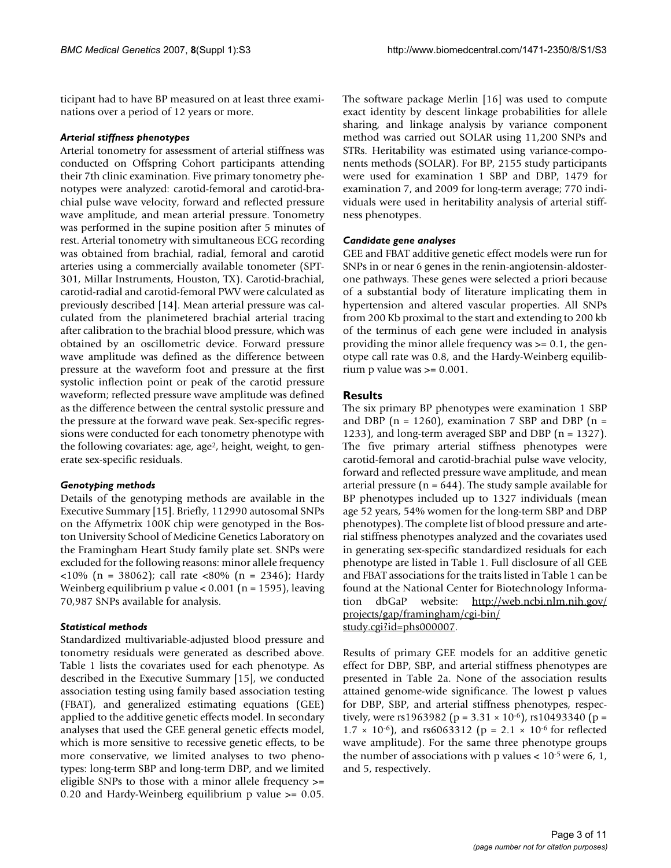ticipant had to have BP measured on at least three examinations over a period of 12 years or more.

## *Arterial stiffness phenotypes*

Arterial tonometry for assessment of arterial stiffness was conducted on Offspring Cohort participants attending their 7th clinic examination. Five primary tonometry phenotypes were analyzed: carotid-femoral and carotid-brachial pulse wave velocity, forward and reflected pressure wave amplitude, and mean arterial pressure. Tonometry was performed in the supine position after 5 minutes of rest. Arterial tonometry with simultaneous ECG recording was obtained from brachial, radial, femoral and carotid arteries using a commercially available tonometer (SPT-301, Millar Instruments, Houston, TX). Carotid-brachial, carotid-radial and carotid-femoral PWV were calculated as previously described [14]. Mean arterial pressure was calculated from the planimetered brachial arterial tracing after calibration to the brachial blood pressure, which was obtained by an oscillometric device. Forward pressure wave amplitude was defined as the difference between pressure at the waveform foot and pressure at the first systolic inflection point or peak of the carotid pressure waveform; reflected pressure wave amplitude was defined as the difference between the central systolic pressure and the pressure at the forward wave peak. Sex-specific regressions were conducted for each tonometry phenotype with the following covariates: age, age2, height, weight, to generate sex-specific residuals.

## *Genotyping methods*

Details of the genotyping methods are available in the Executive Summary [15]. Briefly, 112990 autosomal SNPs on the Affymetrix 100K chip were genotyped in the Boston University School of Medicine Genetics Laboratory on the Framingham Heart Study family plate set. SNPs were excluded for the following reasons: minor allele frequency <10% (n = 38062); call rate <80% (n = 2346); Hardy Weinberg equilibrium p value  $< 0.001$  (n = 1595), leaving 70,987 SNPs available for analysis.

## *Statistical methods*

Standardized multivariable-adjusted blood pressure and tonometry residuals were generated as described above. Table 1 lists the covariates used for each phenotype. As described in the Executive Summary [15], we conducted association testing using family based association testing (FBAT), and generalized estimating equations (GEE) applied to the additive genetic effects model. In secondary analyses that used the GEE general genetic effects model, which is more sensitive to recessive genetic effects, to be more conservative, we limited analyses to two phenotypes: long-term SBP and long-term DBP, and we limited eligible SNPs to those with a minor allele frequency >= 0.20 and Hardy-Weinberg equilibrium p value >= 0.05.

The software package Merlin [16] was used to compute exact identity by descent linkage probabilities for allele sharing, and linkage analysis by variance component method was carried out SOLAR using 11,200 SNPs and STRs. Heritability was estimated using variance-components methods (SOLAR). For BP, 2155 study participants were used for examination 1 SBP and DBP, 1479 for examination 7, and 2009 for long-term average; 770 individuals were used in heritability analysis of arterial stiffness phenotypes.

## *Candidate gene analyses*

GEE and FBAT additive genetic effect models were run for SNPs in or near 6 genes in the renin-angiotensin-aldosterone pathways. These genes were selected a priori because of a substantial body of literature implicating them in hypertension and altered vascular properties. All SNPs from 200 Kb proximal to the start and extending to 200 kb of the terminus of each gene were included in analysis providing the minor allele frequency was >= 0.1, the genotype call rate was 0.8, and the Hardy-Weinberg equilibrium p value was  $> = 0.001$ .

## **Results**

The six primary BP phenotypes were examination 1 SBP and DBP ( $n = 1260$ ), examination 7 SBP and DBP ( $n =$ 1233), and long-term averaged SBP and DBP (n = 1327). The five primary arterial stiffness phenotypes were carotid-femoral and carotid-brachial pulse wave velocity, forward and reflected pressure wave amplitude, and mean arterial pressure ( $n = 644$ ). The study sample available for BP phenotypes included up to 1327 individuals (mean age 52 years, 54% women for the long-term SBP and DBP phenotypes). The complete list of blood pressure and arterial stiffness phenotypes analyzed and the covariates used in generating sex-specific standardized residuals for each phenotype are listed in Table 1. Full disclosure of all GEE and FBAT associations for the traits listed in Table 1 can be found at the National Center for Biotechnology Information dbGaP website: [http://web.ncbi.nlm.nih.gov/](http://web.ncbi.nlm.nih.gov/projects/gap/framingham/cgi-bin/study.cgi?id=phs000007) [projects/gap/framingham/cgi-bin/](http://web.ncbi.nlm.nih.gov/projects/gap/framingham/cgi-bin/study.cgi?id=phs000007) [study.cgi?id=phs000007](http://web.ncbi.nlm.nih.gov/projects/gap/framingham/cgi-bin/study.cgi?id=phs000007).

Results of primary GEE models for an additive genetic effect for DBP, SBP, and arterial stiffness phenotypes are presented in Table 2a. None of the association results attained genome-wide significance. The lowest p values for DBP, SBP, and arterial stiffness phenotypes, respectively, were rs1963982 (p =  $3.31 \times 10^{-6}$ ), rs10493340 (p =  $1.7 \times 10^{-6}$ ), and rs6063312 (p = 2.1  $\times$  10<sup>-6</sup> for reflected wave amplitude). For the same three phenotype groups the number of associations with p values  $< 10^{-5}$  were 6, 1, and 5, respectively.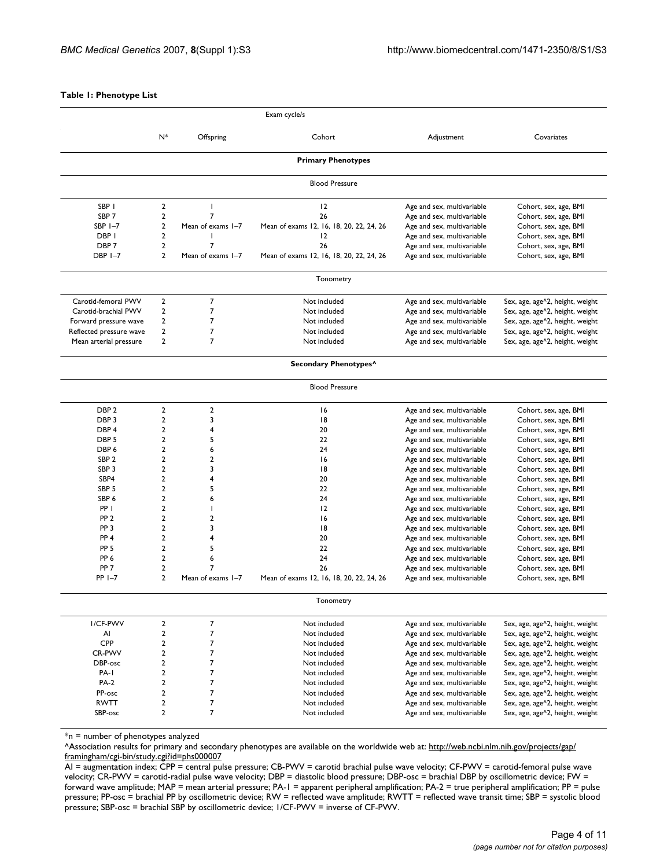## **Table 1: Phenotype List**

|                         |                  |                   | Exam cycle/s                             |                            |                                 |
|-------------------------|------------------|-------------------|------------------------------------------|----------------------------|---------------------------------|
|                         | $N^*$            | Offspring         | Cohort                                   | Adjustment                 | Covariates                      |
|                         |                  |                   | <b>Primary Phenotypes</b>                |                            |                                 |
|                         |                  |                   | <b>Blood Pressure</b>                    |                            |                                 |
| SBP <sub>I</sub>        | $\mathbf{2}$     | J.                | 12                                       | Age and sex, multivariable | Cohort, sex, age, BMI           |
| SBP <sub>7</sub>        | $\overline{2}$   | $\overline{7}$    | 26                                       | Age and sex, multivariable | Cohort, sex, age, BMI           |
| SBP $I - 7$             | $\overline{2}$   | Mean of exams 1-7 | Mean of exams 12, 16, 18, 20, 22, 24, 26 | Age and sex, multivariable | Cohort, sex, age, BMI           |
| DBP I                   | $\overline{2}$   | H                 | 12                                       | Age and sex, multivariable | Cohort, sex, age, BMI           |
| DBP <sub>7</sub>        | $\overline{2}$   | $\overline{7}$    | 26                                       | Age and sex, multivariable | Cohort, sex, age, BMI           |
| $DBP$ $I - 7$           | $\overline{2}$   | Mean of exams 1-7 | Mean of exams 12, 16, 18, 20, 22, 24, 26 | Age and sex, multivariable | Cohort, sex, age, BMI           |
|                         |                  |                   | Tonometry                                |                            |                                 |
| Carotid-femoral PWV     | $\overline{2}$   | $\overline{7}$    | Not included                             | Age and sex, multivariable | Sex, age, age^2, height, weight |
| Carotid-brachial PWV    | $\overline{2}$   | $\overline{7}$    | Not included                             | Age and sex, multivariable | Sex, age, age^2, height, weight |
| Forward pressure wave   | $\overline{2}$   | $\overline{7}$    | Not included                             | Age and sex, multivariable | Sex, age, age^2, height, weight |
| Reflected pressure wave | $\overline{2}$   | $\overline{7}$    | Not included                             | Age and sex, multivariable | Sex, age, age^2, height, weight |
| Mean arterial pressure  | $\overline{2}$   | $\overline{7}$    | Not included                             | Age and sex, multivariable | Sex, age, age^2, height, weight |
|                         |                  |                   | Secondary Phenotypes^                    |                            |                                 |
|                         |                  |                   | <b>Blood Pressure</b>                    |                            |                                 |
| DBP <sub>2</sub>        | $\overline{2}$   | $\overline{2}$    | 16                                       | Age and sex, multivariable | Cohort, sex, age, BMI           |
| DBP <sub>3</sub>        | $\overline{2}$   | 3                 | 8                                        | Age and sex, multivariable | Cohort, sex, age, BMI           |
| DBP <sub>4</sub>        | $\overline{2}$   | 4                 | 20                                       | Age and sex, multivariable | Cohort, sex, age, BMI           |
| DBP <sub>5</sub>        | $\overline{2}$   | 5                 | 22                                       | Age and sex, multivariable | Cohort, sex, age, BMI           |
| DBP 6                   | $\overline{2}$   | 6                 | 24                                       | Age and sex, multivariable | Cohort, sex, age, BMI           |
| SBP <sub>2</sub>        | $\overline{2}$   | $\overline{2}$    | 16                                       | Age and sex, multivariable | Cohort, sex, age, BMI           |
| SBP <sub>3</sub>        | $\overline{2}$   | 3                 | 8                                        | Age and sex, multivariable | Cohort, sex, age, BMI           |
| SBP4                    | $\overline{2}$   | 4                 | 20                                       | Age and sex, multivariable | Cohort, sex, age, BMI           |
| SBP <sub>5</sub>        | $\overline{2}$   | 5                 | 22                                       | Age and sex, multivariable | Cohort, sex, age, BMI           |
| SBP 6                   | $\overline{2}$   | 6                 | 24                                       | Age and sex, multivariable | Cohort, sex, age, BMI           |
| PP I                    | $\overline{2}$   | ı                 | 12                                       | Age and sex, multivariable | Cohort, sex, age, BMI           |
| PP <sub>2</sub>         | $\overline{2}$   | $\overline{2}$    | 16                                       | Age and sex, multivariable | Cohort, sex, age, BMI           |
| PP <sub>3</sub>         | $\overline{2}$   | 3                 | 8                                        | Age and sex, multivariable | Cohort, sex, age, BMI           |
| PP <sub>4</sub>         | $\overline{2}$   | 4                 | 20                                       | Age and sex, multivariable | Cohort, sex, age, BMI           |
| PP <sub>5</sub>         | $\overline{2}$   | 5                 | 22                                       | Age and sex, multivariable | Cohort, sex, age, BMI           |
| PP <sub>6</sub>         | $\overline{2}$   | 6                 | 24                                       | Age and sex, multivariable | Cohort, sex, age, BMI           |
| PP <sub>7</sub>         | $\overline{2}$   | $\overline{7}$    | 26                                       | Age and sex, multivariable | Cohort, sex, age, BMI           |
| $PP$ $I - 7$            | $\overline{2}$   | Mean of exams 1-7 | Mean of exams 12, 16, 18, 20, 22, 24, 26 | Age and sex, multivariable | Cohort, sex, age, BMI           |
|                         |                  |                   | Tonometry                                |                            |                                 |
| I/CF-PWV                | $\mathbf 2$      | $\overline{7}$    | Not included                             | Age and sex, multivariable | Sex, age, age^2, height, weight |
| Al                      | $\boldsymbol{2}$ | 7                 | Not included                             | Age and sex, multivariable | Sex, age, age^2, height, weight |
| CPP                     | $\mathbf 2$      | $\overline{7}$    | Not included                             | Age and sex, multivariable | Sex, age, age^2, height, weight |
| CR-PWV                  | $\mathbf 2$      | $\overline{7}$    | Not included                             | Age and sex, multivariable | Sex, age, age^2, height, weight |
| DBP-osc                 | $\boldsymbol{2}$ | $\overline{7}$    | Not included                             | Age and sex, multivariable | Sex, age, age^2, height, weight |
| PA-I                    | $\overline{2}$   | $\overline{7}$    | Not included                             | Age and sex, multivariable | Sex, age, age^2, height, weight |
| <b>PA-2</b>             | $\mathbf 2$      | $\overline{7}$    | Not included                             | Age and sex, multivariable | Sex, age, age^2, height, weight |
| PP-osc                  | $\overline{2}$   | $\overline{7}$    | Not included                             | Age and sex, multivariable | Sex, age, age^2, height, weight |
| <b>RWTT</b>             | $\mathbf 2$      | $\overline{7}$    | Not included                             | Age and sex, multivariable | Sex, age, age^2, height, weight |
|                         | $\boldsymbol{2}$ | $\overline{7}$    | Not included                             | Age and sex, multivariable | Sex, age, age^2, height, weight |

\*n = number of phenotypes analyzed

^Association results for primary and secondary phenotypes are available on the worldwide web at: [http://web.ncbi.nlm.nih.gov/projects/gap/](http://web.ncbi.nlm.nih.gov/projects/gap/framingham/cgi-bin/study.cgi?id=phs000007) [framingham/cgi-bin/study.cgi?id=phs000007](http://web.ncbi.nlm.nih.gov/projects/gap/framingham/cgi-bin/study.cgi?id=phs000007)

AI = augmentation index; CPP = central pulse pressure; CB-PWV = carotid brachial pulse wave velocity; CF-PWV = carotid-femoral pulse wave velocity; CR-PWV = carotid-radial pulse wave velocity; DBP = diastolic blood pressure; DBP-osc = brachial DBP by oscillometric device; FW = forward wave amplitude; MAP = mean arterial pressure; PA-1 = apparent peripheral amplification; PA-2 = true peripheral amplification; PP = pulse pressure; PP-osc = brachial PP by oscillometric device; RW = reflected wave amplitude; RWTT = reflected wave transit time; SBP = systolic blood pressure; SBP-osc = brachial SBP by oscillometric device; 1/CF-PWV = inverse of CF-PWV.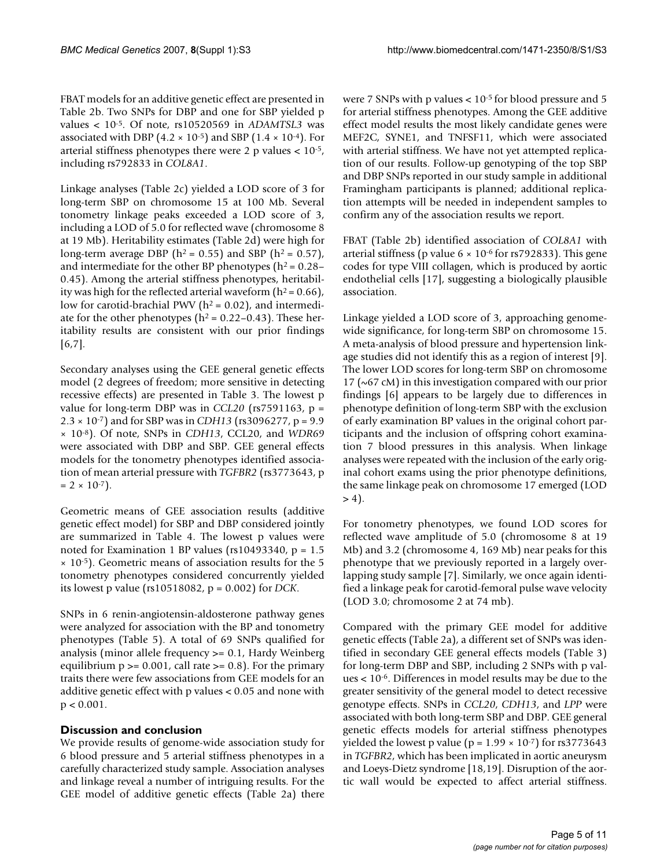FBAT models for an additive genetic effect are presented in Table 2b. Two SNPs for DBP and one for SBP yielded p values < 10-5. Of note, rs10520569 in *ADAMTSL3* was associated with DBP (4.2  $\times$  10<sup>-5</sup>) and SBP (1.4  $\times$  10<sup>-4</sup>). For arterial stiffness phenotypes there were 2 p values < 10-5, including rs792833 in *COL8A1*.

Linkage analyses (Table 2c) yielded a LOD score of 3 for long-term SBP on chromosome 15 at 100 Mb. Several tonometry linkage peaks exceeded a LOD score of 3, including a LOD of 5.0 for reflected wave (chromosome 8 at 19 Mb). Heritability estimates (Table 2d) were high for long-term average DBP ( $h^2 = 0.55$ ) and SBP ( $h^2 = 0.57$ ), and intermediate for the other BP phenotypes ( $h^2 = 0.28 -$ 0.45). Among the arterial stiffness phenotypes, heritability was high for the reflected arterial waveform  $(h^2 = 0.66)$ , low for carotid-brachial PWV ( $h^2$  = 0.02), and intermediate for the other phenotypes ( $h^2$  = 0.22–0.43). These heritability results are consistent with our prior findings [6,7].

Secondary analyses using the GEE general genetic effects model (2 degrees of freedom; more sensitive in detecting recessive effects) are presented in Table 3. The lowest p value for long-term DBP was in *CCL20* (rs7591163, p = 2.3 × 10-7) and for SBP was in *CDH13* (rs3096277, p = 9.9 × 10-8). Of note, SNPs in *CDH13*, CCL20, and *WDR69* were associated with DBP and SBP. GEE general effects models for the tonometry phenotypes identified association of mean arterial pressure with *TGFBR2* (rs3773643, p  $= 2 \times 10^{-7}$ .

Geometric means of GEE association results (additive genetic effect model) for SBP and DBP considered jointly are summarized in Table 4. The lowest p values were noted for Examination 1 BP values ( $rs10493340$ ,  $p = 1.5$ × 10-5). Geometric means of association results for the 5 tonometry phenotypes considered concurrently yielded its lowest p value (rs10518082, p = 0.002) for *DCK*.

SNPs in 6 renin-angiotensin-aldosterone pathway genes were analyzed for association with the BP and tonometry phenotypes (Table 5). A total of 69 SNPs qualified for analysis (minor allele frequency >= 0.1, Hardy Weinberg equilibrium  $p \ge 0.001$ , call rate  $\ge 0.8$ ). For the primary traits there were few associations from GEE models for an additive genetic effect with p values < 0.05 and none with  $p < 0.001$ .

## **Discussion and conclusion**

We provide results of genome-wide association study for 6 blood pressure and 5 arterial stiffness phenotypes in a carefully characterized study sample. Association analyses and linkage reveal a number of intriguing results. For the GEE model of additive genetic effects (Table 2a) there were 7 SNPs with p values < 10-5 for blood pressure and 5 for arterial stiffness phenotypes. Among the GEE additive effect model results the most likely candidate genes were MEF2C, SYNE1, and TNFSF11, which were associated with arterial stiffness. We have not yet attempted replication of our results. Follow-up genotyping of the top SBP and DBP SNPs reported in our study sample in additional Framingham participants is planned; additional replication attempts will be needed in independent samples to confirm any of the association results we report.

FBAT (Table 2b) identified association of *COL8A1* with arterial stiffness (p value  $6 \times 10^{-6}$  for rs792833). This gene codes for type VIII collagen, which is produced by aortic endothelial cells [17], suggesting a biologically plausible association.

Linkage yielded a LOD score of 3, approaching genomewide significance, for long-term SBP on chromosome 15. A meta-analysis of blood pressure and hypertension linkage studies did not identify this as a region of interest [9]. The lower LOD scores for long-term SBP on chromosome  $17 \times 67 \text{ cM}$ ) in this investigation compared with our prior findings [6] appears to be largely due to differences in phenotype definition of long-term SBP with the exclusion of early examination BP values in the original cohort participants and the inclusion of offspring cohort examination 7 blood pressures in this analysis. When linkage analyses were repeated with the inclusion of the early original cohort exams using the prior phenotype definitions, the same linkage peak on chromosome 17 emerged (LOD  $> 4$ ).

For tonometry phenotypes, we found LOD scores for reflected wave amplitude of 5.0 (chromosome 8 at 19 Mb) and 3.2 (chromosome 4, 169 Mb) near peaks for this phenotype that we previously reported in a largely overlapping study sample [7]. Similarly, we once again identified a linkage peak for carotid-femoral pulse wave velocity (LOD 3.0; chromosome 2 at 74 mb).

Compared with the primary GEE model for additive genetic effects (Table 2a), a different set of SNPs was identified in secondary GEE general effects models (Table 3) for long-term DBP and SBP, including 2 SNPs with p values < 10-6. Differences in model results may be due to the greater sensitivity of the general model to detect recessive genotype effects. SNPs in *CCL20*, *CDH13*, and *LPP* were associated with both long-term SBP and DBP. GEE general genetic effects models for arterial stiffness phenotypes yielded the lowest p value ( $p = 1.99 \times 10^{-7}$ ) for rs3773643 in *TGFBR2*, which has been implicated in aortic aneurysm and Loeys-Dietz syndrome [18,19]. Disruption of the aortic wall would be expected to affect arterial stiffness.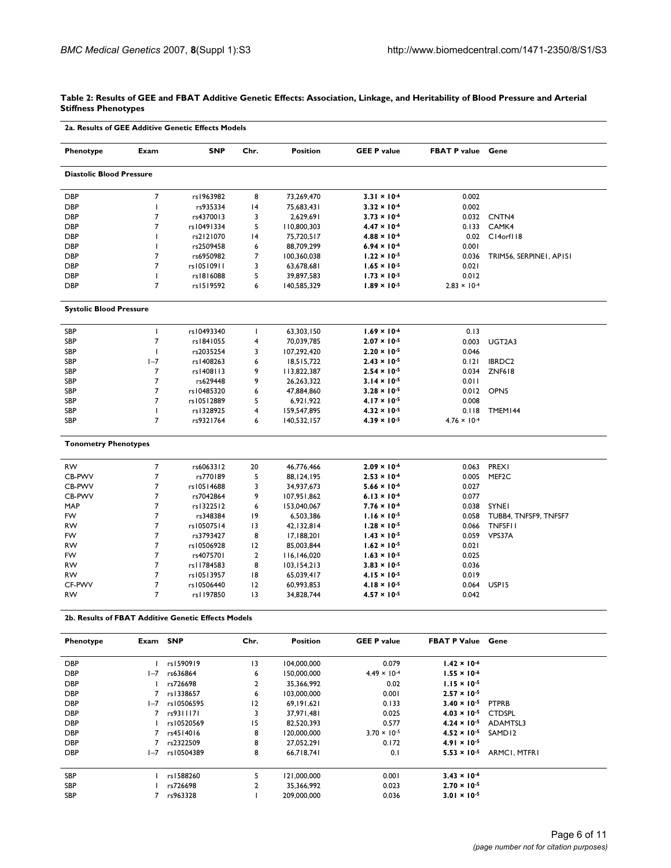#### **Table 2: Results of GEE and FBAT Additive Genetic Effects: Association, Linkage, and Heritability of Blood Pressure and Arterial Stiffness Phenotypes**

| Phenotype                       | Exam           | <b>SNP</b>                                          | Chr.                    | <b>Position</b>           | <b>GEE P value</b>                             | <b>FBAT P value</b>      | Gene                    |
|---------------------------------|----------------|-----------------------------------------------------|-------------------------|---------------------------|------------------------------------------------|--------------------------|-------------------------|
| <b>Diastolic Blood Pressure</b> |                |                                                     |                         |                           |                                                |                          |                         |
|                                 | $\overline{7}$ |                                                     | 8                       |                           |                                                |                          |                         |
| <b>DBP</b><br><b>DBP</b>        | $\mathbf{I}$   | rs1963982<br>rs935334                               | 4                       | 73,269,470                | $3.31 \times 10^{-6}$<br>$3.32 \times 10^{-6}$ | 0.002<br>0.002           |                         |
| <b>DBP</b>                      | $\overline{7}$ | rs4370013                                           | 3                       | 75,683,431                | $3.73 \times 10^{-6}$                          | 0.032                    | CNTN <sub>4</sub>       |
| <b>DBP</b>                      | $\overline{7}$ | rs10491334                                          | 5                       | 2,629,691                 | $4.47 \times 10^{-6}$                          | 0.133                    | CAMK4                   |
| <b>DBP</b>                      | $\mathbf{I}$   | rs2121070                                           | 4                       | 110,800,303<br>75,720,517 | $4.88 \times 10^{-6}$                          | 0.02                     | C14orf118               |
| <b>DBP</b>                      | $\mathbf{I}$   | rs2509458                                           | 6                       | 88,709,299                | $6.94 \times 10^{-6}$                          | 0.001                    |                         |
| <b>DBP</b>                      | $\overline{7}$ | rs6950982                                           | $\overline{7}$          | 100,360,038               | $1.22 \times 10^{-5}$                          | 0.036                    |                         |
| <b>DBP</b>                      | $\overline{7}$ | rs10510911                                          | 3                       | 63,678,681                | $1.65 \times 10^{-5}$                          | 0.021                    | TRIM56, SERPINEI, APISI |
| <b>DBP</b>                      | $\mathbf{I}$   | rs1816088                                           | 5                       | 39,897,583                | $1.73 \times 10^{-5}$                          | 0.012                    |                         |
| <b>DBP</b>                      | 7              | rs1519592                                           | 6                       | 140,585,329               | $1.89 \times 10^{-5}$                          | $2.83 \times 10^{-4}$    |                         |
|                                 |                |                                                     |                         |                           |                                                |                          |                         |
| <b>Systolic Blood Pressure</b>  |                |                                                     |                         |                           |                                                |                          |                         |
| SBP                             | $\mathbf{I}$   | rs10493340                                          | T                       | 63,303,150                | $1.69 \times 10^{-6}$                          | 0.13                     |                         |
| SBP                             | $\overline{7}$ | rs1841055                                           | $\overline{\mathbf{4}}$ | 70,039,785                | $2.07 \times 10^{-5}$                          | 0.003                    | UGT2A3                  |
| SBP                             |                | rs2035254                                           | 3                       | 107,292,420               | $2.20 \times 10^{-5}$                          | 0.046                    |                         |
| SBP                             | $I - 7$        | rs1408263                                           | 6                       | 18,515,722                | $2.43 \times 10^{-5}$                          | 0.121                    | IBRDC2                  |
| SBP                             | 7              | rs1408113                                           | 9                       | 113,822,387               | $2.54 \times 10^{-5}$                          | 0.034                    | <b>ZNF618</b>           |
| SBP                             | $\overline{7}$ | rs629448                                            | 9                       | 26,263,322                | $3.14 \times 10^{-5}$                          | 0.011                    |                         |
| SBP                             | 7              | rs10485320                                          | 6                       | 47,884,860                | $3.28 \times 10^{-5}$                          | 0.012                    | OPN <sub>5</sub>        |
| SBP                             | $\overline{7}$ | rs10512889                                          | 5                       | 6,921,922                 | $4.17 \times 10^{-5}$                          | 0.008                    |                         |
| SBP                             | $\mathbf{I}$   | rs1328925                                           | 4                       | 159,547,895               | $4.32 \times 10^{-5}$                          | 0.118                    | TMEM144                 |
| <b>SBP</b>                      | $\overline{7}$ | rs9321764                                           | 6                       | 140,532,157               | $4.39 \times 10^{-5}$                          | $4.76 \times 10^{-4}$    |                         |
| <b>Tonometry Phenotypes</b>     |                |                                                     |                         |                           |                                                |                          |                         |
| RW                              | $\overline{7}$ | rs6063312                                           | 20                      | 46,776,466                | $2.09 \times 10^{-6}$                          | 0.063                    | <b>PREX1</b>            |
| CB-PWV                          | 7              | rs770189                                            | 5                       | 88, 124, 195              | $2.53 \times 10^{-6}$                          | 0.005                    | MEF <sub>2</sub> C      |
| CB-PWV                          | $\overline{7}$ | rs10514688                                          | 3                       | 34,937,673                | $5.66 \times 10^{-6}$                          | 0.027                    |                         |
| CB-PWV                          | 7              | rs7042864                                           | 9                       | 107,951,862               | $6.13 \times 10^{-6}$                          | 0.077                    |                         |
| MAP                             | $\overline{7}$ | rs1322512                                           | 6                       | 153,040,067               | $7.76 \times 10^{-6}$                          | 0.038                    | <b>SYNEI</b>            |
| FW.                             | 7              | rs348384                                            | 19                      | 6,503,386                 | $1.16 \times 10^{-5}$                          | 0.058                    | TUBB4, TNFSF9, TNFSF7   |
| <b>RW</b>                       | $\overline{7}$ | rs10507514                                          | 3                       | 42, 132, 814              | $1.28 \times 10^{-5}$                          | 0.066                    | <b>TNFSFII</b>          |
| FW                              | 7              | rs3793427                                           | 8                       | 17,188,201                | $1.43 \times 10^{-5}$                          | 0.059                    | VPS37A                  |
| RW                              | $\overline{7}$ | rs10506928                                          | 12                      | 85,003,844                | $1.62 \times 10^{-5}$                          | 0.021                    |                         |
| FW                              | 7              | rs4075701                                           | $\mathbf{2}$            | 116,146,020               | $1.63 \times 10^{-5}$                          | 0.025                    |                         |
| RW                              | $\overline{7}$ | rs11784583                                          | 8                       | 103, 154, 213             | $3.83 \times 10^{-5}$                          | 0.036                    |                         |
| RW                              | $\overline{7}$ | rs10513957                                          | 18                      | 65,039,417                | $4.15 \times 10^{-5}$                          | 0.019                    |                         |
| CF-PWV                          | 7              | rs10506440                                          | 12                      | 60,993,853                | $4.18 \times 10^{-5}$                          | 0.064                    | USP <sub>15</sub>       |
| RW                              | $\overline{7}$ | rs1197850                                           | $\overline{13}$         | 34,828,744                | $4.57 \times 10^{-5}$                          | 0.042                    |                         |
|                                 |                | 2b. Results of FBAT Additive Genetic Effects Models |                         |                           |                                                |                          |                         |
| Phenotype                       | Exam SNP       |                                                     | Chr.                    | <b>Position</b>           | <b>GEE P value</b>                             | <b>FBAT P Value Gene</b> |                         |
| <b>DBP</b>                      |                | I rs1590919                                         | 13                      | 104,000,000               | 0.079                                          | $1.42 \times 10^{-6}$    |                         |
| <b>DBP</b>                      | $I - 7$        | rs636864                                            | 6                       | 150,000,000               | $4.49 \times 10^{-4}$                          | $1.55 \times 10^{-6}$    |                         |
| <b>DBP</b>                      | $\mathbf{L}$   | rs726698                                            | $\mathbf{2}$            | 35,366,992                | 0.02                                           | $1.15 \times 10^{-5}$    |                         |
| <b>DBP</b>                      | 7              | rs1338657                                           | 6                       | 103,000,000               | 0.001                                          | $2.57 \times 10^{-5}$    |                         |
| <b>DBP</b>                      | $I - 7$        | rs10506595                                          | 12                      | 69, 191, 621              | 0.133                                          | $3.40 \times 10^{-5}$    | <b>PTPRB</b>            |
| <b>DBP</b>                      | 7 <sup>7</sup> | rs9311171                                           | 3                       | 37,971,481                | 0.025                                          | $4.03 \times 10^{-5}$    | <b>CTDSPL</b>           |
| <b>DBP</b>                      | J.             | rs10520569                                          | 15                      | 82,520,393                | 0.577                                          | $4.24 \times 10^{-5}$    | ADAMTSL3                |
| <b>DBP</b>                      | 7              | rs4514016                                           | 8                       | 120,000,000               | $3.70 \times 10^{-5}$                          | $4.52 \times 10^{-5}$    | SAMD <sub>12</sub>      |
| <b>DBP</b>                      | 7 <sup>7</sup> | rs2322509                                           | 8                       | 27,052,291                | 0.172                                          | $4.91 \times 10^{-5}$    |                         |
| <b>DBP</b>                      | $I - 7$        | rs10504389                                          | 8                       | 66,718,741                | 0.1                                            | $5.53 \times 10^{-5}$    | ARMCI, MTFRI            |
| SBP                             | $\mathbf{L}$   | rs1588260                                           | 5                       | 121,000,000               | 0.001                                          | $3.43 \times 10^{-6}$    |                         |
| SBP                             | $\mathbf{I}$   | rs726698                                            | $\overline{\mathbf{c}}$ | 35,366,992                | 0.023                                          | $2.70 \times 10^{-5}$    |                         |
| SBP                             | $7^{\circ}$    | rs963328                                            | $\mathbf{I}$            | 209,000,000               | 0.036                                          | $3.01 \times 10^{-5}$    |                         |
|                                 |                |                                                     |                         |                           |                                                |                          |                         |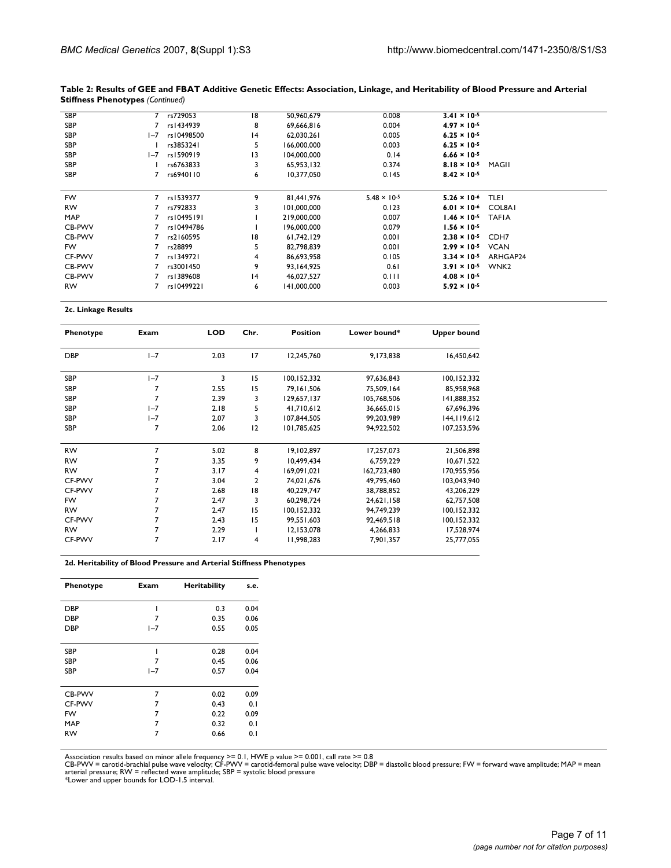#### **Table 2: Results of GEE and FBAT Additive Genetic Effects: Association, Linkage, and Heritability of Blood Pressure and Arterial Stiffness Phenotypes** *(Continued)*

| <b>SBP</b> |         | rs729053    | $\overline{8}$  | 50,960,679  | 0.008                 | $3.41 \times 10^{-5}$                     |
|------------|---------|-------------|-----------------|-------------|-----------------------|-------------------------------------------|
| <b>SBP</b> |         | rs   434939 | 8               | 69.666.816  | 0.004                 | $4.97 \times 10^{-5}$                     |
| <b>SBP</b> | $I - 7$ | rs10498500  | 4               | 62,030,261  | 0.005                 | $6.25 \times 10^{-5}$                     |
| <b>SBP</b> |         | rs3853241   | 5               | 166,000,000 | 0.003                 | $6.25 \times 10^{-5}$                     |
| <b>SBP</b> | $I - 7$ | rs1590919   | $\overline{13}$ | 104.000.000 | 0.14                  | $6.66 \times 10^{-5}$                     |
| <b>SBP</b> |         | rs6763833   | 3               | 65,953,132  | 0.374                 | $8.18 \times 10^{-5}$<br>MAGII            |
| <b>SBP</b> | 7       | rs6940110   | 6               | 10,377,050  | 0.145                 | $8.42 \times 10^{-5}$                     |
|            |         |             |                 |             |                       |                                           |
| <b>FW</b>  | 7       | rs1539377   | 9               | 81.441.976  | $5.48 \times 10^{-5}$ | $5.26 \times 10^{-6}$<br>TLEI             |
| <b>RW</b>  | 7       | rs792833    | 3               | 101,000,000 | 0.123                 | $6.01 \times 10^{-6}$<br><b>COL8AI</b>    |
| <b>MAP</b> | 7       | rs10495191  |                 | 219,000,000 | 0.007                 | $1.46 \times 10^{-5}$<br><b>TAFIA</b>     |
| CB-PWV     |         | rs10494786  |                 | 196,000,000 | 0.079                 | $1.56 \times 10^{-5}$                     |
| CB-PWV     |         | rs2160595   | 18              | 61.742.129  | 0.001                 | $2.38 \times 10^{-5}$<br>CDH <sub>7</sub> |
| <b>FW</b>  | 7       | rs28899     | 5               | 82,798,839  | 0.001                 | $2.99 \times 10^{-5}$<br><b>VCAN</b>      |
| CF-PWV     | 7       | rs1349721   | 4               | 86.693.958  | 0.105                 | $3.34 \times 10^{-5}$<br>ARHGAP24         |
| CB-PWV     | 7       | rs3001450   | 9               | 93,164,925  | 0.61                  | $3.91 \times 10^{-5}$<br>WNK <sub>2</sub> |
| CB-PWV     |         | rs1389608   | 4               | 46,027,527  | 0.111                 | $4.08 \times 10^{-5}$                     |
| <b>RW</b>  |         | rs10499221  | 6               | 141,000,000 | 0.003                 | $5.92 \times 10^{-5}$                     |
|            |         |             |                 |             |                       |                                           |

#### **2c. Linkage Results**

| Phenotype  | Exam    | <b>LOD</b> | Chr.           | <b>Position</b> | Lower bound* | <b>Upper bound</b> |
|------------|---------|------------|----------------|-----------------|--------------|--------------------|
| <b>DBP</b> | $I - 7$ | 2.03       | 17             | 12,245,760      | 9,173,838    | 16,450,642         |
| <b>SBP</b> | $I - 7$ | 3          | 15             | 100,152,332     | 97.636.843   | 100,152,332        |
| <b>SBP</b> | 7       | 2.55       | 15             | 79,161,506      | 75,509,164   | 85,958,968         |
| <b>SBP</b> | 7       | 2.39       | 3              | 129,657,137     | 105,768,506  | 141,888,352        |
| <b>SBP</b> | $I - 7$ | 2.18       | 5              | 41,710,612      | 36,665,015   | 67,696,396         |
| <b>SBP</b> | $I - 7$ | 2.07       | 3              | 107,844,505     | 99,203,989   | 144, 119, 612      |
| <b>SBP</b> | 7       | 2.06       | 12             | 101,785,625     | 94,922,502   | 107,253,596        |
| <b>RW</b>  | 7       | 5.02       | 8              | 19,102,897      | 17,257,073   | 21,506,898         |
| <b>RW</b>  |         | 3.35       | 9              | 10,499,434      | 6,759,229    | 10,671,522         |
| <b>RW</b>  | 7       | 3.17       | $\overline{4}$ | 169.091.021     | 162,723,480  | 170,955,956        |
| CF-PWV     |         | 3.04       | $\overline{2}$ | 74,021,676      | 49.795.460   | 103,043,940        |
| CF-PWV     | 7       | 2.68       | 18             | 40,229,747      | 38,788,852   | 43,206,229         |
| <b>FW</b>  | 7       | 2.47       | 3              | 60.298.724      | 24,621,158   | 62,757,508         |
| <b>RW</b>  | 7       | 2.47       | 15             | 100,152,332     | 94,749,239   | 100,152,332        |
| CF-PWV     | 7       | 2.43       | 15             | 99,551,603      | 92,469,518   | 100,152,332        |
| <b>RW</b>  | 7       | 2.29       |                | 12,153,078      | 4,266,833    | 17,528,974         |
| CF-PWV     | 7       | 2.17       | 4              | 11,998,283      | 7,901,357    | 25,777,055         |

#### **2d. Heritability of Blood Pressure and Arterial Stiffness Phenotypes**

| Exam    | <b>Heritability</b> | s.e. |
|---------|---------------------|------|
|         | 0.3                 | 0.04 |
| 7       | 0.35                | 0.06 |
| $I - 7$ | 0.55                | 0.05 |
| ı       | 0.28                | 0.04 |
| 7       | 0.45                | 0.06 |
| $I - 7$ | 0.57                | 0.04 |
| 7       | 0.02                | 0.09 |
| 7       | 0.43                | 0.1  |
| 7       | 0.22                | 0.09 |
| 7       | 0.32                | 0.1  |
| 7       | 0.66                | 0.1  |
|         |                     |      |

Association results based on minor allele frequency >= 0.1, HWE p value >= 0.001, call rate >= 0.8<br>CB-PWV = carotid-brachial pulse wave velocity; CF-PWV = carotid-femoral pulse wave velocity; DBP = diastolic blood pressure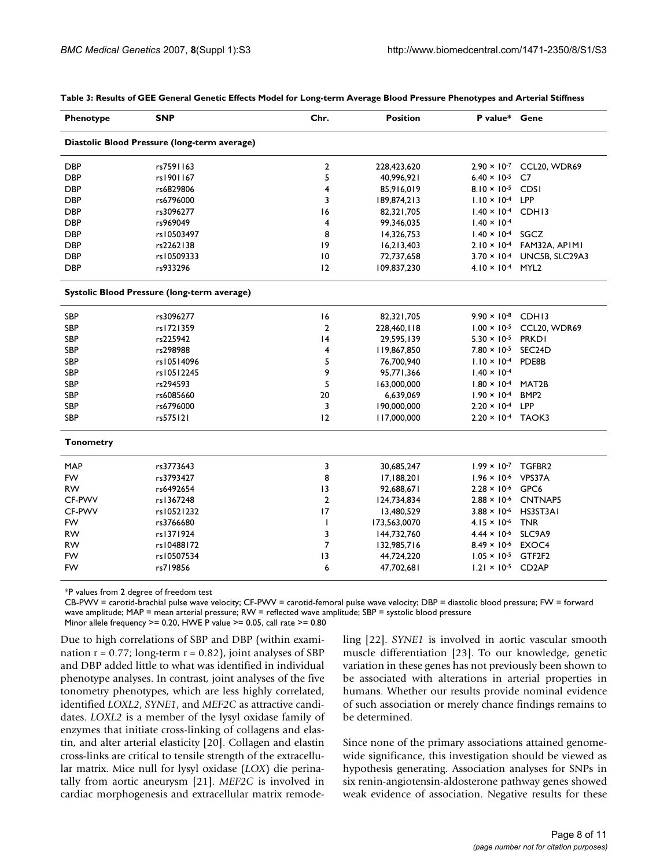| Diastolic Blood Pressure (long-term average)<br>$\overline{2}$<br><b>DBP</b><br>rs7591163<br>228,423,620<br>$2.90 \times 10^{-7}$<br>CCL20, WDR69<br>5<br>$6.40 \times 10^{-5}$<br><b>DBP</b><br>rs1901167<br>40,996,921<br>C7<br>4<br><b>DBP</b><br>85,916,019<br>$8.10 \times 10^{-5}$<br>CDSI<br>rs6829806<br>3<br><b>DBP</b><br>189,874,213<br>$1.10 \times 10^{-4}$<br><b>LPP</b><br>rs6796000<br><b>DBP</b><br>CDH <sub>13</sub><br>rs3096277<br>16<br>82,321,705<br>$1.40 \times 10^{-4}$<br><b>DBP</b><br>rs969049<br>4<br>$1.40 \times 10^{-4}$<br>99,346,035<br>8<br>SGCZ<br><b>DBP</b><br>rs10503497<br>14,326,753<br>$1.40 \times 10^{-4}$<br> 9<br><b>DBP</b><br>rs2262138<br>16,213,403<br>$2.10 \times 10^{-4}$<br>FAM32A, APIMI<br>10<br><b>DBP</b><br>rs10509333<br>72,737,658<br>$3.70 \times 10^{-4}$<br>UNC5B, SLC29A3<br>12<br><b>DBP</b><br>rs933296<br>109,837,230<br>$4.10 \times 10^{-4}$<br>MYL <sub>2</sub><br>Systolic Blood Pressure (long-term average)<br><b>SBP</b><br>16<br>$9.90 \times 10^{-8}$<br>CDH <sub>13</sub><br>rs3096277<br>82,321,705<br><b>SBP</b><br>$\overline{2}$<br>rs1721359<br>228,460,118<br>$1.00 \times 10^{-5}$<br>CCL20, WDR69<br>$5.30 \times 10^{-5}$<br><b>SBP</b><br>rs225942<br> 4<br>29,595,139<br><b>PRKDI</b><br><b>SBP</b><br>rs298988<br>4<br>119,867,850<br>$7.80 \times 10^{-5}$<br>SEC <sub>24</sub> D<br>5<br><b>SBP</b><br>PDE8B<br>rs10514096<br>76,700,940<br>$1.10 \times 10^{-4}$<br>9<br><b>SBP</b><br>rs10512245<br>95,771,366<br>$1.40 \times 10^{-4}$<br>5<br><b>SBP</b><br>rs294593<br>163,000,000<br>$1.80 \times 10^{-4}$<br>MAT2B<br><b>SBP</b><br>20<br>6,639,069<br>BMP <sub>2</sub><br>rs6085660<br>$1.90 \times 10^{-4}$<br><b>SBP</b><br>3<br>190,000,000<br>LPP<br>rs6796000<br>$2.20 \times 10^{-4}$<br>12<br><b>SBP</b><br>rs575121<br>117,000,000<br>$2.20 \times 10^{-4}$<br>TAOK3<br><b>Tonometry</b><br>3<br>$1.99 \times 10^{-7}$<br><b>MAP</b><br>rs3773643<br>30,685,247<br>TGFBR2<br>rs3793427<br>8<br>$1.96 \times 10^{-6}$<br>VPS37A<br><b>FW</b><br>17,188,201<br>13<br>GPC6<br><b>RW</b><br>rs6492654<br>92,688,671<br>$2.28 \times 10^{-6}$<br>$\overline{2}$<br><b>CNTNAP5</b><br><b>CF-PWV</b><br>$2.88 \times 10^{-6}$<br>rs1367248<br>124,734,834<br>17<br>CF-PWV<br>$3.88 \times 10^{-6}$<br>HS3ST3AI<br>rs10521232<br>13,480,529<br><b>TNR</b><br><b>FW</b><br>rs3766680<br>$\mathbf{I}$<br>173,563,0070<br>$4.15 \times 10^{-6}$<br>3<br><b>RW</b><br>rs1371924<br>$4.44 \times 10^{-6}$<br>SLC9A9<br>144,732,760 | Phenotype | <b>SNP</b> | Chr. | <b>Position</b> | P value* | Gene |
|-----------------------------------------------------------------------------------------------------------------------------------------------------------------------------------------------------------------------------------------------------------------------------------------------------------------------------------------------------------------------------------------------------------------------------------------------------------------------------------------------------------------------------------------------------------------------------------------------------------------------------------------------------------------------------------------------------------------------------------------------------------------------------------------------------------------------------------------------------------------------------------------------------------------------------------------------------------------------------------------------------------------------------------------------------------------------------------------------------------------------------------------------------------------------------------------------------------------------------------------------------------------------------------------------------------------------------------------------------------------------------------------------------------------------------------------------------------------------------------------------------------------------------------------------------------------------------------------------------------------------------------------------------------------------------------------------------------------------------------------------------------------------------------------------------------------------------------------------------------------------------------------------------------------------------------------------------------------------------------------------------------------------------------------------------------------------------------------------------------------------------------------------------------------------------------------------------------------------------------------------------------------------------------------------------------------------------------------------------------------------------------------------------------------------------------------------------------------------------------------------------------------------------------|-----------|------------|------|-----------------|----------|------|
|                                                                                                                                                                                                                                                                                                                                                                                                                                                                                                                                                                                                                                                                                                                                                                                                                                                                                                                                                                                                                                                                                                                                                                                                                                                                                                                                                                                                                                                                                                                                                                                                                                                                                                                                                                                                                                                                                                                                                                                                                                                                                                                                                                                                                                                                                                                                                                                                                                                                                                                                   |           |            |      |                 |          |      |
|                                                                                                                                                                                                                                                                                                                                                                                                                                                                                                                                                                                                                                                                                                                                                                                                                                                                                                                                                                                                                                                                                                                                                                                                                                                                                                                                                                                                                                                                                                                                                                                                                                                                                                                                                                                                                                                                                                                                                                                                                                                                                                                                                                                                                                                                                                                                                                                                                                                                                                                                   |           |            |      |                 |          |      |
|                                                                                                                                                                                                                                                                                                                                                                                                                                                                                                                                                                                                                                                                                                                                                                                                                                                                                                                                                                                                                                                                                                                                                                                                                                                                                                                                                                                                                                                                                                                                                                                                                                                                                                                                                                                                                                                                                                                                                                                                                                                                                                                                                                                                                                                                                                                                                                                                                                                                                                                                   |           |            |      |                 |          |      |
|                                                                                                                                                                                                                                                                                                                                                                                                                                                                                                                                                                                                                                                                                                                                                                                                                                                                                                                                                                                                                                                                                                                                                                                                                                                                                                                                                                                                                                                                                                                                                                                                                                                                                                                                                                                                                                                                                                                                                                                                                                                                                                                                                                                                                                                                                                                                                                                                                                                                                                                                   |           |            |      |                 |          |      |
|                                                                                                                                                                                                                                                                                                                                                                                                                                                                                                                                                                                                                                                                                                                                                                                                                                                                                                                                                                                                                                                                                                                                                                                                                                                                                                                                                                                                                                                                                                                                                                                                                                                                                                                                                                                                                                                                                                                                                                                                                                                                                                                                                                                                                                                                                                                                                                                                                                                                                                                                   |           |            |      |                 |          |      |
|                                                                                                                                                                                                                                                                                                                                                                                                                                                                                                                                                                                                                                                                                                                                                                                                                                                                                                                                                                                                                                                                                                                                                                                                                                                                                                                                                                                                                                                                                                                                                                                                                                                                                                                                                                                                                                                                                                                                                                                                                                                                                                                                                                                                                                                                                                                                                                                                                                                                                                                                   |           |            |      |                 |          |      |
|                                                                                                                                                                                                                                                                                                                                                                                                                                                                                                                                                                                                                                                                                                                                                                                                                                                                                                                                                                                                                                                                                                                                                                                                                                                                                                                                                                                                                                                                                                                                                                                                                                                                                                                                                                                                                                                                                                                                                                                                                                                                                                                                                                                                                                                                                                                                                                                                                                                                                                                                   |           |            |      |                 |          |      |
|                                                                                                                                                                                                                                                                                                                                                                                                                                                                                                                                                                                                                                                                                                                                                                                                                                                                                                                                                                                                                                                                                                                                                                                                                                                                                                                                                                                                                                                                                                                                                                                                                                                                                                                                                                                                                                                                                                                                                                                                                                                                                                                                                                                                                                                                                                                                                                                                                                                                                                                                   |           |            |      |                 |          |      |
|                                                                                                                                                                                                                                                                                                                                                                                                                                                                                                                                                                                                                                                                                                                                                                                                                                                                                                                                                                                                                                                                                                                                                                                                                                                                                                                                                                                                                                                                                                                                                                                                                                                                                                                                                                                                                                                                                                                                                                                                                                                                                                                                                                                                                                                                                                                                                                                                                                                                                                                                   |           |            |      |                 |          |      |
|                                                                                                                                                                                                                                                                                                                                                                                                                                                                                                                                                                                                                                                                                                                                                                                                                                                                                                                                                                                                                                                                                                                                                                                                                                                                                                                                                                                                                                                                                                                                                                                                                                                                                                                                                                                                                                                                                                                                                                                                                                                                                                                                                                                                                                                                                                                                                                                                                                                                                                                                   |           |            |      |                 |          |      |
|                                                                                                                                                                                                                                                                                                                                                                                                                                                                                                                                                                                                                                                                                                                                                                                                                                                                                                                                                                                                                                                                                                                                                                                                                                                                                                                                                                                                                                                                                                                                                                                                                                                                                                                                                                                                                                                                                                                                                                                                                                                                                                                                                                                                                                                                                                                                                                                                                                                                                                                                   |           |            |      |                 |          |      |
|                                                                                                                                                                                                                                                                                                                                                                                                                                                                                                                                                                                                                                                                                                                                                                                                                                                                                                                                                                                                                                                                                                                                                                                                                                                                                                                                                                                                                                                                                                                                                                                                                                                                                                                                                                                                                                                                                                                                                                                                                                                                                                                                                                                                                                                                                                                                                                                                                                                                                                                                   |           |            |      |                 |          |      |
|                                                                                                                                                                                                                                                                                                                                                                                                                                                                                                                                                                                                                                                                                                                                                                                                                                                                                                                                                                                                                                                                                                                                                                                                                                                                                                                                                                                                                                                                                                                                                                                                                                                                                                                                                                                                                                                                                                                                                                                                                                                                                                                                                                                                                                                                                                                                                                                                                                                                                                                                   |           |            |      |                 |          |      |
|                                                                                                                                                                                                                                                                                                                                                                                                                                                                                                                                                                                                                                                                                                                                                                                                                                                                                                                                                                                                                                                                                                                                                                                                                                                                                                                                                                                                                                                                                                                                                                                                                                                                                                                                                                                                                                                                                                                                                                                                                                                                                                                                                                                                                                                                                                                                                                                                                                                                                                                                   |           |            |      |                 |          |      |
|                                                                                                                                                                                                                                                                                                                                                                                                                                                                                                                                                                                                                                                                                                                                                                                                                                                                                                                                                                                                                                                                                                                                                                                                                                                                                                                                                                                                                                                                                                                                                                                                                                                                                                                                                                                                                                                                                                                                                                                                                                                                                                                                                                                                                                                                                                                                                                                                                                                                                                                                   |           |            |      |                 |          |      |
|                                                                                                                                                                                                                                                                                                                                                                                                                                                                                                                                                                                                                                                                                                                                                                                                                                                                                                                                                                                                                                                                                                                                                                                                                                                                                                                                                                                                                                                                                                                                                                                                                                                                                                                                                                                                                                                                                                                                                                                                                                                                                                                                                                                                                                                                                                                                                                                                                                                                                                                                   |           |            |      |                 |          |      |
|                                                                                                                                                                                                                                                                                                                                                                                                                                                                                                                                                                                                                                                                                                                                                                                                                                                                                                                                                                                                                                                                                                                                                                                                                                                                                                                                                                                                                                                                                                                                                                                                                                                                                                                                                                                                                                                                                                                                                                                                                                                                                                                                                                                                                                                                                                                                                                                                                                                                                                                                   |           |            |      |                 |          |      |
|                                                                                                                                                                                                                                                                                                                                                                                                                                                                                                                                                                                                                                                                                                                                                                                                                                                                                                                                                                                                                                                                                                                                                                                                                                                                                                                                                                                                                                                                                                                                                                                                                                                                                                                                                                                                                                                                                                                                                                                                                                                                                                                                                                                                                                                                                                                                                                                                                                                                                                                                   |           |            |      |                 |          |      |
|                                                                                                                                                                                                                                                                                                                                                                                                                                                                                                                                                                                                                                                                                                                                                                                                                                                                                                                                                                                                                                                                                                                                                                                                                                                                                                                                                                                                                                                                                                                                                                                                                                                                                                                                                                                                                                                                                                                                                                                                                                                                                                                                                                                                                                                                                                                                                                                                                                                                                                                                   |           |            |      |                 |          |      |
|                                                                                                                                                                                                                                                                                                                                                                                                                                                                                                                                                                                                                                                                                                                                                                                                                                                                                                                                                                                                                                                                                                                                                                                                                                                                                                                                                                                                                                                                                                                                                                                                                                                                                                                                                                                                                                                                                                                                                                                                                                                                                                                                                                                                                                                                                                                                                                                                                                                                                                                                   |           |            |      |                 |          |      |
|                                                                                                                                                                                                                                                                                                                                                                                                                                                                                                                                                                                                                                                                                                                                                                                                                                                                                                                                                                                                                                                                                                                                                                                                                                                                                                                                                                                                                                                                                                                                                                                                                                                                                                                                                                                                                                                                                                                                                                                                                                                                                                                                                                                                                                                                                                                                                                                                                                                                                                                                   |           |            |      |                 |          |      |
|                                                                                                                                                                                                                                                                                                                                                                                                                                                                                                                                                                                                                                                                                                                                                                                                                                                                                                                                                                                                                                                                                                                                                                                                                                                                                                                                                                                                                                                                                                                                                                                                                                                                                                                                                                                                                                                                                                                                                                                                                                                                                                                                                                                                                                                                                                                                                                                                                                                                                                                                   |           |            |      |                 |          |      |
|                                                                                                                                                                                                                                                                                                                                                                                                                                                                                                                                                                                                                                                                                                                                                                                                                                                                                                                                                                                                                                                                                                                                                                                                                                                                                                                                                                                                                                                                                                                                                                                                                                                                                                                                                                                                                                                                                                                                                                                                                                                                                                                                                                                                                                                                                                                                                                                                                                                                                                                                   |           |            |      |                 |          |      |
|                                                                                                                                                                                                                                                                                                                                                                                                                                                                                                                                                                                                                                                                                                                                                                                                                                                                                                                                                                                                                                                                                                                                                                                                                                                                                                                                                                                                                                                                                                                                                                                                                                                                                                                                                                                                                                                                                                                                                                                                                                                                                                                                                                                                                                                                                                                                                                                                                                                                                                                                   |           |            |      |                 |          |      |
|                                                                                                                                                                                                                                                                                                                                                                                                                                                                                                                                                                                                                                                                                                                                                                                                                                                                                                                                                                                                                                                                                                                                                                                                                                                                                                                                                                                                                                                                                                                                                                                                                                                                                                                                                                                                                                                                                                                                                                                                                                                                                                                                                                                                                                                                                                                                                                                                                                                                                                                                   |           |            |      |                 |          |      |
|                                                                                                                                                                                                                                                                                                                                                                                                                                                                                                                                                                                                                                                                                                                                                                                                                                                                                                                                                                                                                                                                                                                                                                                                                                                                                                                                                                                                                                                                                                                                                                                                                                                                                                                                                                                                                                                                                                                                                                                                                                                                                                                                                                                                                                                                                                                                                                                                                                                                                                                                   |           |            |      |                 |          |      |
|                                                                                                                                                                                                                                                                                                                                                                                                                                                                                                                                                                                                                                                                                                                                                                                                                                                                                                                                                                                                                                                                                                                                                                                                                                                                                                                                                                                                                                                                                                                                                                                                                                                                                                                                                                                                                                                                                                                                                                                                                                                                                                                                                                                                                                                                                                                                                                                                                                                                                                                                   |           |            |      |                 |          |      |
|                                                                                                                                                                                                                                                                                                                                                                                                                                                                                                                                                                                                                                                                                                                                                                                                                                                                                                                                                                                                                                                                                                                                                                                                                                                                                                                                                                                                                                                                                                                                                                                                                                                                                                                                                                                                                                                                                                                                                                                                                                                                                                                                                                                                                                                                                                                                                                                                                                                                                                                                   |           |            |      |                 |          |      |
|                                                                                                                                                                                                                                                                                                                                                                                                                                                                                                                                                                                                                                                                                                                                                                                                                                                                                                                                                                                                                                                                                                                                                                                                                                                                                                                                                                                                                                                                                                                                                                                                                                                                                                                                                                                                                                                                                                                                                                                                                                                                                                                                                                                                                                                                                                                                                                                                                                                                                                                                   |           |            |      |                 |          |      |
|                                                                                                                                                                                                                                                                                                                                                                                                                                                                                                                                                                                                                                                                                                                                                                                                                                                                                                                                                                                                                                                                                                                                                                                                                                                                                                                                                                                                                                                                                                                                                                                                                                                                                                                                                                                                                                                                                                                                                                                                                                                                                                                                                                                                                                                                                                                                                                                                                                                                                                                                   |           |            |      |                 |          |      |
| 7<br>rs10488172<br>EXOC4<br><b>RW</b><br>132,985,716<br>$8.49 \times 10^{-6}$                                                                                                                                                                                                                                                                                                                                                                                                                                                                                                                                                                                                                                                                                                                                                                                                                                                                                                                                                                                                                                                                                                                                                                                                                                                                                                                                                                                                                                                                                                                                                                                                                                                                                                                                                                                                                                                                                                                                                                                                                                                                                                                                                                                                                                                                                                                                                                                                                                                     |           |            |      |                 |          |      |
| rs10507534<br> 3<br>$1.05 \times 10^{-5}$<br>GTF2F2<br>FW<br>44,724,220                                                                                                                                                                                                                                                                                                                                                                                                                                                                                                                                                                                                                                                                                                                                                                                                                                                                                                                                                                                                                                                                                                                                                                                                                                                                                                                                                                                                                                                                                                                                                                                                                                                                                                                                                                                                                                                                                                                                                                                                                                                                                                                                                                                                                                                                                                                                                                                                                                                           |           |            |      |                 |          |      |
| $1.21 \times 10^{-5}$<br>rs719856<br>6<br>CD <sub>2</sub> AP<br>FW<br>47,702,681                                                                                                                                                                                                                                                                                                                                                                                                                                                                                                                                                                                                                                                                                                                                                                                                                                                                                                                                                                                                                                                                                                                                                                                                                                                                                                                                                                                                                                                                                                                                                                                                                                                                                                                                                                                                                                                                                                                                                                                                                                                                                                                                                                                                                                                                                                                                                                                                                                                  |           |            |      |                 |          |      |

#### **Table 3: Results of GEE General Genetic Effects Model for Long-term Average Blood Pressure Phenotypes and Arterial Stiffness**

\*P values from 2 degree of freedom test

CB-PWV = carotid-brachial pulse wave velocity; CF-PWV = carotid-femoral pulse wave velocity; DBP = diastolic blood pressure; FW = forward wave amplitude; MAP = mean arterial pressure; RW = reflected wave amplitude; SBP = systolic blood pressure

Minor allele frequency >= 0.20, HWE P value >= 0.05, call rate >= 0.80

Due to high correlations of SBP and DBP (within examination  $r = 0.77$ ; long-term  $r = 0.82$ ), joint analyses of SBP and DBP added little to what was identified in individual phenotype analyses. In contrast, joint analyses of the five tonometry phenotypes, which are less highly correlated, identified *LOXL2*, *SYNE1*, and *MEF2C* as attractive candidates. *LOXL2* is a member of the lysyl oxidase family of enzymes that initiate cross-linking of collagens and elastin, and alter arterial elasticity [20]. Collagen and elastin cross-links are critical to tensile strength of the extracellular matrix. Mice null for lysyl oxidase (*LOX*) die perinatally from aortic aneurysm [21]. *MEF2C* is involved in cardiac morphogenesis and extracellular matrix remodeling [22]. *SYNE1* is involved in aortic vascular smooth muscle differentiation [23]. To our knowledge, genetic variation in these genes has not previously been shown to be associated with alterations in arterial properties in humans. Whether our results provide nominal evidence of such association or merely chance findings remains to be determined.

Since none of the primary associations attained genomewide significance, this investigation should be viewed as hypothesis generating. Association analyses for SNPs in six renin-angiotensin-aldosterone pathway genes showed weak evidence of association. Negative results for these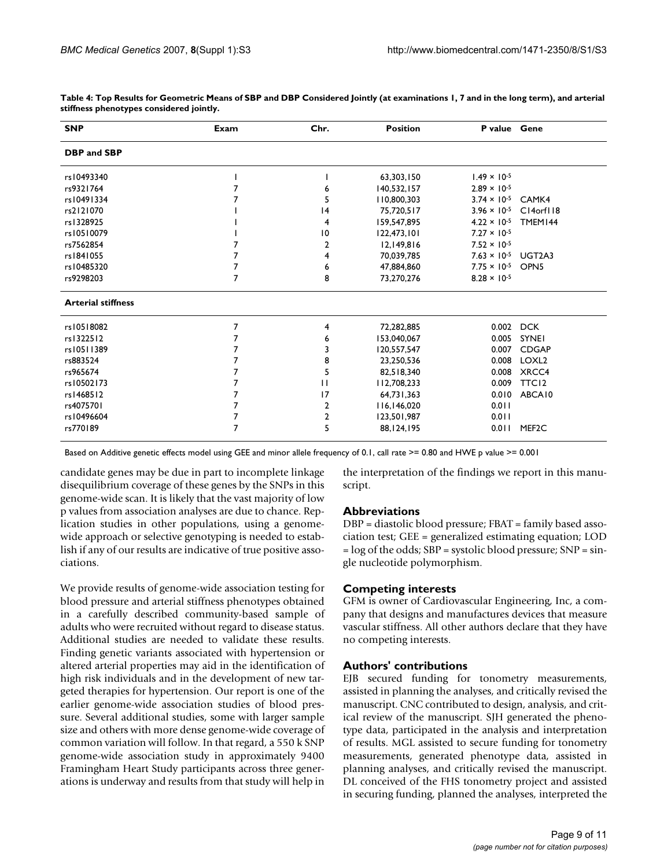| <b>SNP</b>                | Exam | Chr.           | <b>Position</b> | P value Gene          |                                 |
|---------------------------|------|----------------|-----------------|-----------------------|---------------------------------|
| <b>DBP</b> and SBP        |      |                |                 |                       |                                 |
| rs10493340                |      |                | 63,303,150      | $1.49 \times 10^{-5}$ |                                 |
| rs9321764                 |      | 6              | 140,532,157     | $2.89 \times 10^{-5}$ |                                 |
| rs10491334                |      | 5              | 110,800,303     | $3.74 \times 10^{-5}$ | CAMK4                           |
| rs2121070                 |      | 4              | 75,720,517      | $3.96 \times 10^{-5}$ | C14orf118                       |
| rs1328925                 |      | 4              | 159,547,895     | $4.22 \times 10^{-5}$ | TMEM144                         |
| rs10510079                |      | $\overline{0}$ | 122,473,101     | $7.27 \times 10^{-5}$ |                                 |
| rs7562854                 |      | 2              | 12.149.816      | $7.52 \times 10^{-5}$ |                                 |
| rs1841055                 |      | 4              | 70,039,785      | $7.63 \times 10^{-5}$ | UGT <sub>2</sub> A <sub>3</sub> |
| rs10485320                |      | 6              | 47,884,860      | $7.75 \times 10^{-5}$ | OPN <sub>5</sub>                |
| rs9298203                 | 7    | 8              | 73,270,276      | $8.28 \times 10^{-5}$ |                                 |
| <b>Arterial stiffness</b> |      |                |                 |                       |                                 |
| rs10518082                | 7    | 4              | 72,282,885      | 0.002                 | <b>DCK</b>                      |
| rs1322512                 |      | 6              | 153,040,067     | 0.005                 | <b>SYNEI</b>                    |
| rs10511389                |      | 3              | 120,557,547     | 0.007                 | <b>CDGAP</b>                    |
| rs883524                  |      | 8              | 23,250,536      | 0.008                 | LOXL <sub>2</sub>               |
| rs965674                  |      | 5              | 82,518,340      | 0.008                 | XRCC4                           |
| rs10502173                |      | П              | 112,708,233     | 0.009                 | TTC <sub>12</sub>               |
| rs1468512                 |      | 17             | 64,731,363      | 0.010                 | ABCA10                          |
| rs4075701                 |      | 2              | 116,146,020     | 0.011                 |                                 |
| rs10496604                |      | 2              | 123,501,987     | 0.011                 |                                 |
| rs770189                  |      | 5              | 88, 124, 195    | 0.011                 | MEF <sub>2</sub> C              |

**Table 4: Top Results for Geometric Means of SBP and DBP Considered Jointly (at examinations 1, 7 and in the long term), and arterial stiffness phenotypes considered jointly.**

Based on Additive genetic effects model using GEE and minor allele frequency of 0.1, call rate >= 0.80 and HWE p value >= 0.001

candidate genes may be due in part to incomplete linkage disequilibrium coverage of these genes by the SNPs in this genome-wide scan. It is likely that the vast majority of low p values from association analyses are due to chance. Replication studies in other populations, using a genomewide approach or selective genotyping is needed to establish if any of our results are indicative of true positive associations.

We provide results of genome-wide association testing for blood pressure and arterial stiffness phenotypes obtained in a carefully described community-based sample of adults who were recruited without regard to disease status. Additional studies are needed to validate these results. Finding genetic variants associated with hypertension or altered arterial properties may aid in the identification of high risk individuals and in the development of new targeted therapies for hypertension. Our report is one of the earlier genome-wide association studies of blood pressure. Several additional studies, some with larger sample size and others with more dense genome-wide coverage of common variation will follow. In that regard, a 550 k SNP genome-wide association study in approximately 9400 Framingham Heart Study participants across three generations is underway and results from that study will help in the interpretation of the findings we report in this manuscript.

## **Abbreviations**

DBP = diastolic blood pressure; FBAT = family based association test; GEE = generalized estimating equation; LOD  $=$  log of the odds; SBP  $=$  systolic blood pressure; SNP  $=$  single nucleotide polymorphism.

## **Competing interests**

GFM is owner of Cardiovascular Engineering, Inc, a company that designs and manufactures devices that measure vascular stiffness. All other authors declare that they have no competing interests.

## **Authors' contributions**

EJB secured funding for tonometry measurements, assisted in planning the analyses, and critically revised the manuscript. CNC contributed to design, analysis, and critical review of the manuscript. SJH generated the phenotype data, participated in the analysis and interpretation of results. MGL assisted to secure funding for tonometry measurements, generated phenotype data, assisted in planning analyses, and critically revised the manuscript. DL conceived of the FHS tonometry project and assisted in securing funding, planned the analyses, interpreted the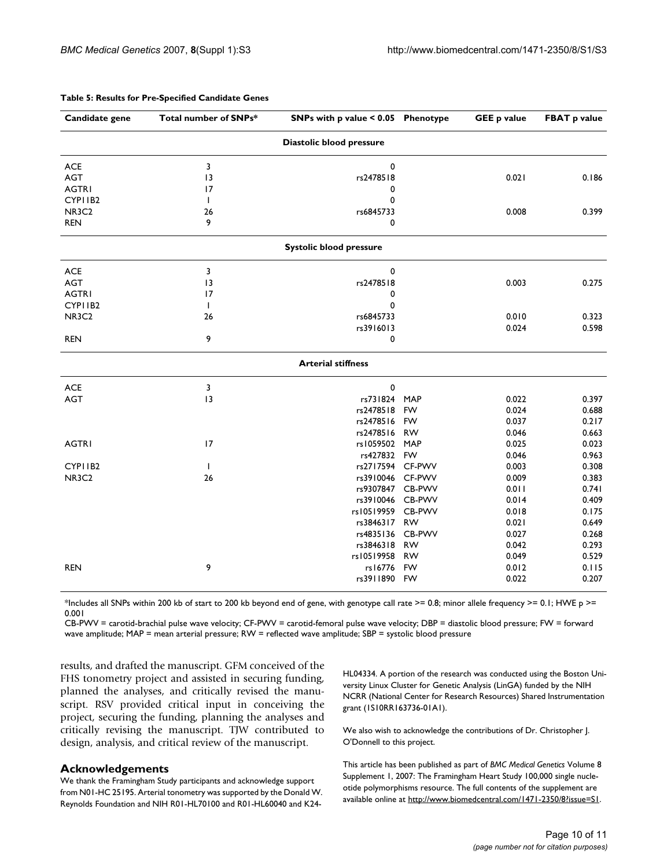| Candidate gene           | Total number of SNPs* | SNPs with p value < 0.05 Phenotype |            | <b>GEE</b> p value | <b>FBAT</b> p value |  |  |  |  |
|--------------------------|-----------------------|------------------------------------|------------|--------------------|---------------------|--|--|--|--|
| Diastolic blood pressure |                       |                                    |            |                    |                     |  |  |  |  |
| <b>ACE</b>               | 3                     | 0                                  |            |                    |                     |  |  |  |  |
| <b>AGT</b>               | 13                    | rs2478518                          |            | 0.021              | 0.186               |  |  |  |  |
| <b>AGTRI</b>             | 17                    | 0                                  |            |                    |                     |  |  |  |  |
| CYPIIB2                  | $\mathbf{I}$          | 0                                  |            |                    |                     |  |  |  |  |
| <b>NR3C2</b>             | 26                    | rs6845733                          |            | 0.008              | 0.399               |  |  |  |  |
| <b>REN</b>               | 9                     | 0                                  |            |                    |                     |  |  |  |  |
|                          |                       | <b>Systolic blood pressure</b>     |            |                    |                     |  |  |  |  |
| <b>ACE</b>               | 3                     | 0                                  |            |                    |                     |  |  |  |  |
| <b>AGT</b>               | 13                    | rs2478518                          |            | 0.003              | 0.275               |  |  |  |  |
| <b>AGTRI</b>             | 17                    | 0                                  |            |                    |                     |  |  |  |  |
| CYPIIB2                  | $\mathbf{I}$          | 0                                  |            |                    |                     |  |  |  |  |
| NR3C2                    | 26                    | rs6845733                          |            | 0.010              | 0.323               |  |  |  |  |
|                          |                       | rs3916013                          |            | 0.024              | 0.598               |  |  |  |  |
| <b>REN</b>               | 9                     | 0                                  |            |                    |                     |  |  |  |  |
|                          |                       | <b>Arterial stiffness</b>          |            |                    |                     |  |  |  |  |
| <b>ACE</b>               | 3                     | 0                                  |            |                    |                     |  |  |  |  |
| <b>AGT</b>               | 13                    | rs731824                           | <b>MAP</b> | 0.022              | 0.397               |  |  |  |  |
|                          |                       | rs2478518                          | <b>FW</b>  | 0.024              | 0.688               |  |  |  |  |
|                          |                       | rs2478516                          | <b>FW</b>  | 0.037              | 0.217               |  |  |  |  |
|                          |                       | rs2478516                          | <b>RW</b>  | 0.046              | 0.663               |  |  |  |  |
| <b>AGTRI</b>             | 17                    | rs1059502 MAP                      |            | 0.025              | 0.023               |  |  |  |  |
|                          |                       | rs427832 FW                        |            | 0.046              | 0.963               |  |  |  |  |
| CYPIIB2                  | $\mathbf{I}$          | rs2717594                          | CF-PWV     | 0.003              | 0.308               |  |  |  |  |
| NR3C2                    | 26                    | rs3910046                          | CF-PWV     | 0.009              | 0.383               |  |  |  |  |
|                          |                       | rs9307847 CB-PWV                   |            | 0.011              | 0.741               |  |  |  |  |
|                          |                       | rs3910046                          | CB-PWV     | 0.014              | 0.409               |  |  |  |  |
|                          |                       | rs10519959                         | CB-PWV     | 0.018              | 0.175               |  |  |  |  |
|                          |                       | rs3846317                          | <b>RW</b>  | 0.021              | 0.649               |  |  |  |  |
|                          |                       | rs4835136                          | CB-PWV     | 0.027              | 0.268               |  |  |  |  |
|                          |                       | rs3846318 RW                       |            | 0.042              | 0.293               |  |  |  |  |
|                          |                       | rs10519958                         | <b>RW</b>  | 0.049              | 0.529               |  |  |  |  |
| <b>REN</b>               | 9                     | rs16776                            | <b>FW</b>  | 0.012              | 0.115               |  |  |  |  |
|                          |                       | rs3911890                          | FW         | 0.022              | 0.207               |  |  |  |  |

#### **Table 5: Results for Pre-Specified Candidate Genes**

\*Includes all SNPs within 200 kb of start to 200 kb beyond end of gene, with genotype call rate  $>= 0.8$ ; minor allele frequency  $>= 0.1$ ; HWE p  $>=$ 0.001

CB-PWV = carotid-brachial pulse wave velocity; CF-PWV = carotid-femoral pulse wave velocity; DBP = diastolic blood pressure; FW = forward wave amplitude; MAP = mean arterial pressure; RW = reflected wave amplitude; SBP = systolic blood pressure

results, and drafted the manuscript. GFM conceived of the FHS tonometry project and assisted in securing funding, planned the analyses, and critically revised the manuscript. RSV provided critical input in conceiving the project, securing the funding, planning the analyses and critically revising the manuscript. TJW contributed to design, analysis, and critical review of the manuscript.

## **Acknowledgements**

We thank the Framingham Study participants and acknowledge support from N01-HC 25195. Arterial tonometry was supported by the Donald W. Reynolds Foundation and NIH R01-HL70100 and R01-HL60040 and K24HL04334. A portion of the research was conducted using the Boston University Linux Cluster for Genetic Analysis (LinGA) funded by the NIH NCRR (National Center for Research Resources) Shared Instrumentation grant (1S10RR163736-01A1).

We also wish to acknowledge the contributions of Dr. Christopher J. O'Donnell to this project.

This article has been published as part of *BMC Medical Genetics* Volume 8 Supplement 1, 2007: The Framingham Heart Study 100,000 single nucleotide polymorphisms resource. The full contents of the supplement are available online at<http://www.biomedcentral.com/1471-2350/8?issue=S1>.